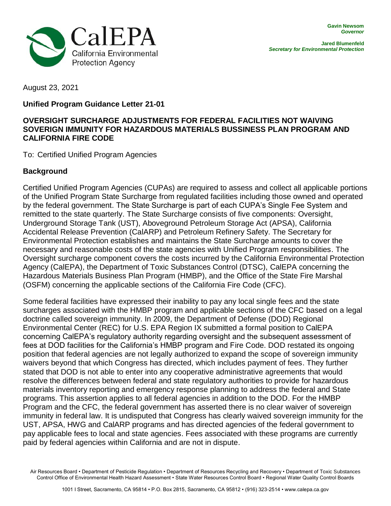

August 23, 2021

## **Unified Program Guidance Letter 21-01**

## **OVERSIGHT SURCHARGE ADJUSTMENTS FOR FEDERAL FACILITIES NOT WAIVING SOVERIGN IMMUNITY FOR HAZARDOUS MATERIALS BUSSINESS PLAN PROGRAM AND CALIFORNIA FIRE CODE**

To: Certified Unified Program Agencies

## **Background**

Certified Unified Program Agencies (CUPAs) are required to assess and collect all applicable portions of the Unified Program State Surcharge from regulated facilities including those owned and operated by the federal government. The State Surcharge is part of each CUPA's Single Fee System and remitted to the state quarterly. The State Surcharge consists of five components: Oversight, Underground Storage Tank (UST), Aboveground Petroleum Storage Act (APSA), California Accidental Release Prevention (CalARP) and Petroleum Refinery Safety. The Secretary for Environmental Protection establishes and maintains the State Surcharge amounts to cover the necessary and reasonable costs of the state agencies with Unified Program responsibilities. The Oversight surcharge component covers the costs incurred by the California Environmental Protection Agency (CalEPA), the Department of Toxic Substances Control (DTSC), CalEPA concerning the Hazardous Materials Business Plan Program (HMBP), and the Office of the State Fire Marshal (OSFM) concerning the applicable sections of the California Fire Code (CFC).

Some federal facilities have expressed their inability to pay any local single fees and the state surcharges associated with the HMBP program and applicable sections of the CFC based on a legal doctrine called sovereign immunity. In 2009, the Department of Defense (DOD) Regional Environmental Center (REC) for U.S. EPA Region IX submitted a formal position to CalEPA concerning CalEPA's regulatory authority regarding oversight and the subsequent assessment of fees at DOD facilities for the California's HMBP program and Fire Code. DOD restated its ongoing position that federal agencies are not legally authorized to expand the scope of sovereign immunity waivers beyond that which Congress has directed, which includes payment of fees. They further stated that DOD is not able to enter into any cooperative administrative agreements that would resolve the differences between federal and state regulatory authorities to provide for hazardous materials inventory reporting and emergency response planning to address the federal and State programs. This assertion applies to all federal agencies in addition to the DOD. For the HMBP Program and the CFC, the federal government has asserted there is no clear waiver of sovereign immunity in federal law. It is undisputed that Congress has clearly waived sovereign immunity for the UST, APSA, HWG and CalARP programs and has directed agencies of the federal government to pay applicable fees to local and state agencies. Fees associated with these programs are currently paid by federal agencies within California and are not in dispute.

Air Resources Board • Department of Pesticide Regulation • Department of Resources Recycling and Recovery • Department of Toxic Substances Control Office of Environmental Health Hazard Assessment • State Water Resources Control Board • Regional Water Quality Control Boards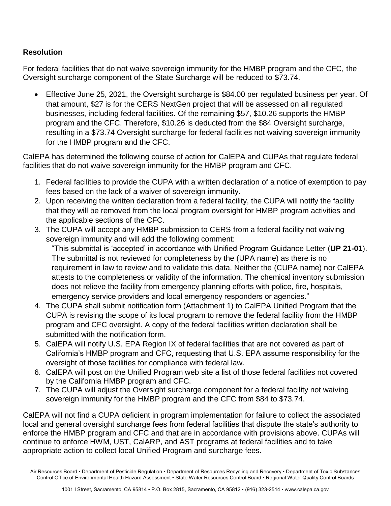## **Resolution**

For federal facilities that do not waive sovereign immunity for the HMBP program and the CFC, the Oversight surcharge component of the State Surcharge will be reduced to \$73.74.

 Effective June 25, 2021, the Oversight surcharge is \$84.00 per regulated business per year. Of that amount, \$27 is for the CERS NextGen project that will be assessed on all regulated businesses, including federal facilities. Of the remaining \$57, \$10.26 supports the HMBP program and the CFC. Therefore, \$10.26 is deducted from the \$84 Oversight surcharge, resulting in a \$73.74 Oversight surcharge for federal facilities not waiving sovereign immunity for the HMBP program and the CFC.

CalEPA has determined the following course of action for CalEPA and CUPAs that regulate federal facilities that do not waive sovereign immunity for the HMBP program and CFC.

- 1. Federal facilities to provide the CUPA with a written declaration of a notice of exemption to pay fees based on the lack of a waiver of sovereign immunity.
- 2. Upon receiving the written declaration from a federal facility, the CUPA will notify the facility that they will be removed from the local program oversight for HMBP program activities and the applicable sections of the CFC.
- 3. The CUPA will accept any HMBP submission to CERS from a federal facility not waiving sovereign immunity and will add the following comment:

"This submittal is 'accepted' in accordance with Unified Program Guidance Letter (**UP 21-01**). The submittal is not reviewed for completeness by the (UPA name) as there is no requirement in law to review and to validate this data. Neither the (CUPA name) nor CalEPA attests to the completeness or validity of the information. The chemical inventory submission does not relieve the facility from emergency planning efforts with police, fire, hospitals, emergency service providers and local emergency responders or agencies."

- 4. The CUPA shall submit notification form (Attachment 1) to CalEPA Unified Program that the CUPA is revising the scope of its local program to remove the federal facility from the HMBP program and CFC oversight. A copy of the federal facilities written declaration shall be submitted with the notification form.
- 5. CalEPA will notify U.S. EPA Region IX of federal facilities that are not covered as part of California's HMBP program and CFC, requesting that U.S. EPA assume responsibility for the oversight of those facilities for compliance with federal law.
- 6. CalEPA will post on the Unified Program web site a list of those federal facilities not covered by the California HMBP program and CFC.
- 7. The CUPA will adjust the Oversight surcharge component for a federal facility not waiving sovereign immunity for the HMBP program and the CFC from \$84 to \$73.74.

CalEPA will not find a CUPA deficient in program implementation for failure to collect the associated local and general oversight surcharge fees from federal facilities that dispute the state's authority to enforce the HMBP program and CFC and that are in accordance with provisions above. CUPAs will continue to enforce HWM, UST, CalARP, and AST programs at federal facilities and to take appropriate action to collect local Unified Program and surcharge fees.